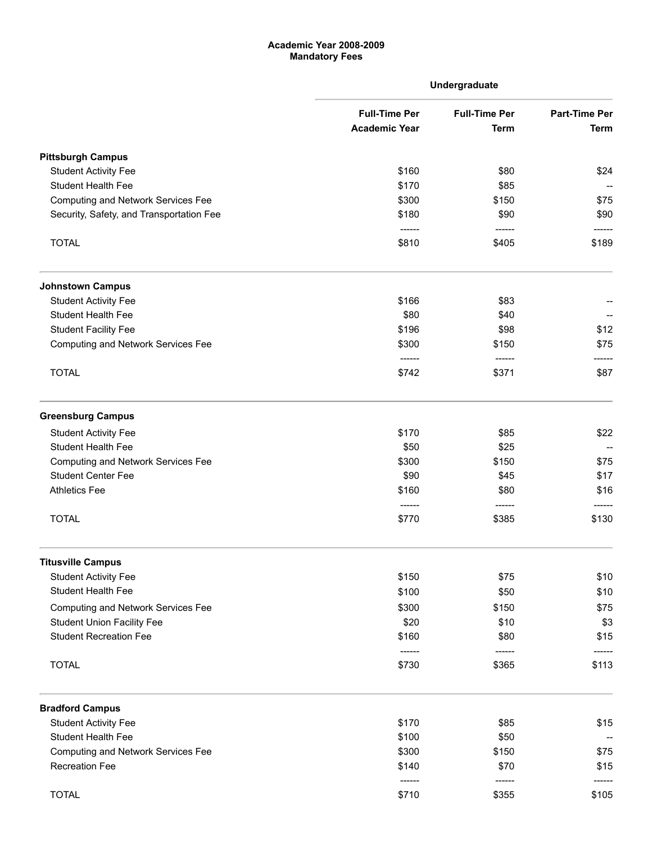## Academic Year 2008-2009 Mandatory Fees

|                                           |                                              | Undergraduate                       |                              |
|-------------------------------------------|----------------------------------------------|-------------------------------------|------------------------------|
|                                           | <b>Full-Time Per</b><br><b>Academic Year</b> | <b>Full-Time Per</b><br><b>Term</b> | <b>Part-Time Per</b><br>Term |
|                                           |                                              |                                     |                              |
| <b>Pittsburgh Campus</b>                  |                                              |                                     |                              |
| <b>Student Activity Fee</b>               | \$160                                        | \$80                                | \$24                         |
| <b>Student Health Fee</b>                 | \$170                                        | \$85                                |                              |
| <b>Computing and Network Services Fee</b> | \$300                                        | \$150                               | \$75                         |
| Security, Safety, and Transportation Fee  | \$180<br>-------                             | \$90<br>------                      | \$90                         |
| <b>TOTAL</b>                              | \$810                                        | \$405                               | \$189                        |
| <b>Johnstown Campus</b>                   |                                              |                                     |                              |
| <b>Student Activity Fee</b>               | \$166                                        | \$83                                |                              |
| <b>Student Health Fee</b>                 | \$80                                         | \$40                                |                              |
| <b>Student Facility Fee</b>               | \$196                                        | \$98                                | \$12                         |
| <b>Computing and Network Services Fee</b> | \$300<br>------                              | \$150<br>------                     | \$75                         |
| <b>TOTAL</b>                              | \$742                                        | \$371                               | \$87                         |
| <b>Greensburg Campus</b>                  |                                              |                                     |                              |
| <b>Student Activity Fee</b>               | \$170                                        | \$85                                | \$22                         |
| Student Health Fee                        | \$50                                         | \$25                                |                              |
| <b>Computing and Network Services Fee</b> | \$300                                        | \$150                               | \$75                         |
| <b>Student Center Fee</b>                 | \$90                                         | \$45                                | \$17                         |
| <b>Athletics Fee</b>                      | \$160<br>------                              | \$80<br>------                      | \$16                         |
| <b>TOTAL</b>                              | \$770                                        | \$385                               | \$130                        |
| <b>Titusville Campus</b>                  |                                              |                                     |                              |
| <b>Student Activity Fee</b>               | \$150                                        | \$75                                | \$10                         |
| <b>Student Health Fee</b>                 | \$100                                        | \$50                                | \$10                         |
| <b>Computing and Network Services Fee</b> | \$300                                        | \$150                               | \$75                         |
| <b>Student Union Facility Fee</b>         | \$20                                         | \$10                                | \$3                          |
| <b>Student Recreation Fee</b>             | \$160                                        | \$80                                | \$15                         |
| <b>TOTAL</b>                              | \$730                                        | ------<br>\$365                     | -----<br>\$113               |
| <b>Bradford Campus</b>                    |                                              |                                     |                              |
| <b>Student Activity Fee</b>               | \$170                                        | \$85                                | \$15                         |
| <b>Student Health Fee</b>                 | \$100                                        | \$50                                |                              |
| <b>Computing and Network Services Fee</b> | \$300                                        | \$150                               | \$75                         |
| Recreation Fee                            | \$140                                        | \$70                                | \$15                         |
| <b>TOTAL</b>                              | \$710                                        | \$355                               | \$105                        |